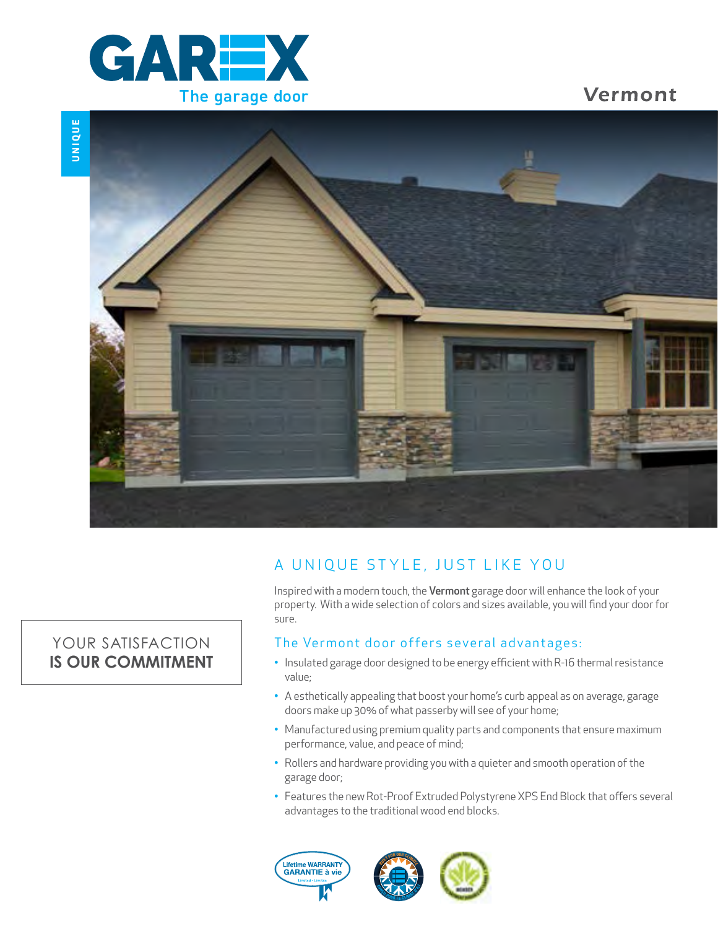

Vermont



## A UNIQUE STYLE, JUST LIKE YOU

Inspired with a modern touch, the Vermont garage door will enhance the look of your property. With a wide selection of colors and sizes available, you will find your door for sure.

### The Vermont door offers several advantages:

- Insulated garage door designed to be energy efficient with R-16 thermal resistance value;
- A esthetically appealing that boost your home's curb appeal as on average, garage doors make up 30% of what passerby will see of your home;
- Manufactured using premium quality parts and components that ensure maximum performance, value, and peace of mind;
- Rollers and hardware providing you with a quieter and smooth operation of the garage door;
- Features the new Rot-Proof Extruded Polystyrene XPS End Block that offers several advantages to the traditional wood end blocks.





## YOUR SATISFACTION **IS OUR COMMITMENT**